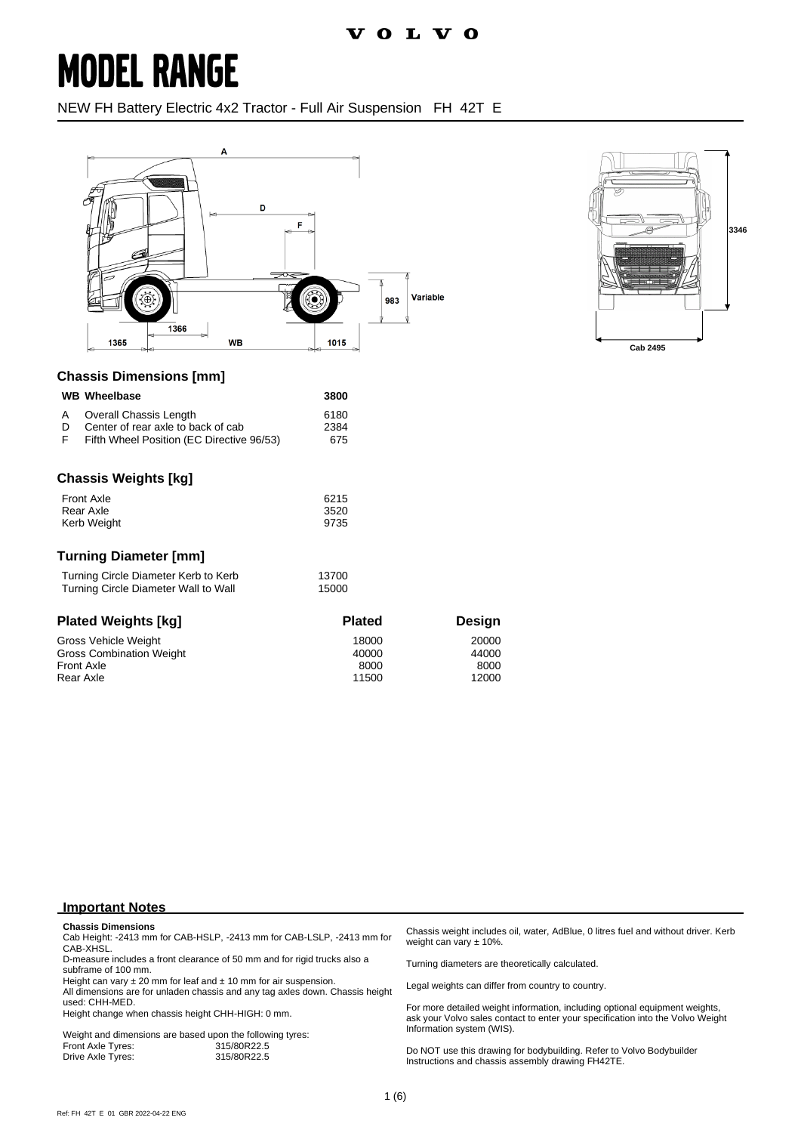NEW FH Battery Electric 4x2 Tractor - Full Air Suspension FH 42T E





#### **Chassis Dimensions [mm]**

|   | <b>WB</b> Wheelbase    | 3800 |
|---|------------------------|------|
| A | Overall Chassis Length | 6180 |
|   |                        |      |

| D | Center of rear axle to back of cab        | 2384 |
|---|-------------------------------------------|------|
|   | Fifth Wheel Position (EC Directive 96/53) | 675  |

### **Chassis Weights [kg]**

| <b>Front Axle</b> | 6215 |
|-------------------|------|
| Rear Axle         | 3520 |
| Kerb Weight       | 9735 |

#### **Turning Diameter [mm]**

| Turning Circle Diameter Kerb to Kerb | 13700 |
|--------------------------------------|-------|
| Turning Circle Diameter Wall to Wall | 15000 |

| <b>Plated Weights [kg]</b>      | <b>Plated</b> | Design |
|---------------------------------|---------------|--------|
| Gross Vehicle Weight            | 18000         | 20000  |
| <b>Gross Combination Weight</b> | 40000         | 44000  |
| <b>Front Axle</b>               | 8000          | 8000   |
| Rear Axle                       | 11500         | 12000  |

#### **Important Notes**

#### **Chassis Dimensions**

Cab Height: -2413 mm for CAB-HSLP, -2413 mm for CAB-LSLP, -2413 mm for CAB-XHSL.

D-measure includes a front clearance of 50 mm and for rigid trucks also a subframe of 100 mm.

Height can vary  $\pm 20$  mm for leaf and  $\pm 10$  mm for air suspension.

All dimensions are for unladen chassis and any tag axles down. Chassis height used: CHH-MED.

Height change when chassis height CHH-HIGH: 0 mm.

|                   | Weight and dimensions are based upon the following tyres: |
|-------------------|-----------------------------------------------------------|
| Front Axle Tyres: | 315/80R22.5                                               |
| Drive Axle Tyres: | 315/80R22.5                                               |

Chassis weight includes oil, water, AdBlue, 0 litres fuel and without driver. Kerb weight can vary ± 10%.

Turning diameters are theoretically calculated.

Legal weights can differ from country to country.

For more detailed weight information, including optional equipment weights, ask your Volvo sales contact to enter your specification into the Volvo Weight Information system (WIS).

Do NOT use this drawing for bodybuilding. Refer to Volvo Bodybuilder Instructions and chassis assembly drawing FH42TE.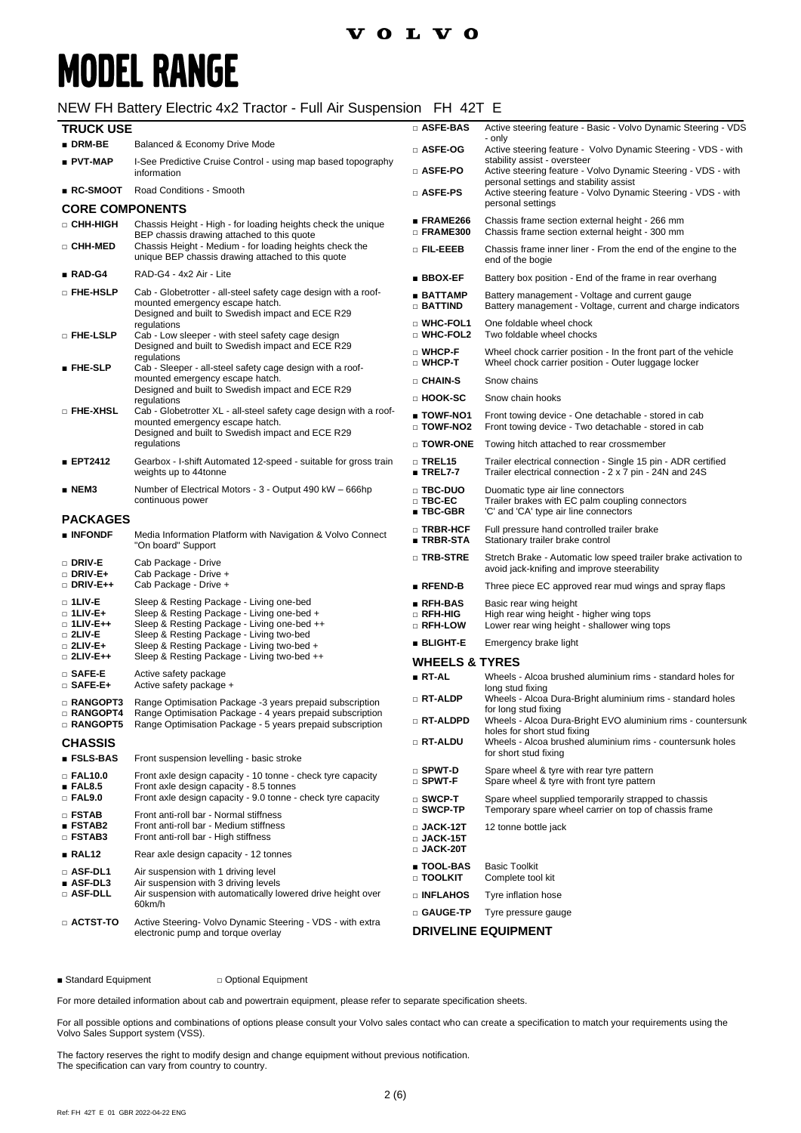### NEW FH Battery Electric 4x2 Tractor - Full Air Suspension FH 42T E

| <b>TRUCK USE</b>                                                    |                                                                                                                                                                                   | □ ASFE-BAS                                           | Active steering feature - Basic - Volvo Dynamic Steering - VDS                                                                                                 |
|---------------------------------------------------------------------|-----------------------------------------------------------------------------------------------------------------------------------------------------------------------------------|------------------------------------------------------|----------------------------------------------------------------------------------------------------------------------------------------------------------------|
| $\blacksquare$ DRM-BE                                               | Balanced & Economy Drive Mode                                                                                                                                                     |                                                      | - only                                                                                                                                                         |
| ■ PVT-MAP                                                           | I-See Predictive Cruise Control - using map based topography                                                                                                                      | □ ASFE-OG<br>□ ASFE-PO                               | Active steering feature - Volvo Dynamic Steering - VDS - with<br>stability assist - oversteer<br>Active steering feature - Volvo Dynamic Steering - VDS - with |
| ■ RC-SMOOT                                                          | information<br>Road Conditions - Smooth                                                                                                                                           | □ ASFE-PS                                            | personal settings and stability assist<br>Active steering feature - Volvo Dynamic Steering - VDS - with                                                        |
| <b>CORE COMPONENTS</b>                                              |                                                                                                                                                                                   |                                                      | personal settings                                                                                                                                              |
| □ CHH-HIGH                                                          | Chassis Height - High - for loading heights check the unique                                                                                                                      | ∎ FRAME266<br>□ FRAME300                             | Chassis frame section external height - 266 mm<br>Chassis frame section external height - 300 mm                                                               |
| □ CHH-MED                                                           | BEP chassis drawing attached to this quote<br>Chassis Height - Medium - for loading heights check the<br>unique BEP chassis drawing attached to this quote                        | o Fil-Eeeb                                           | Chassis frame inner liner - From the end of the engine to the<br>end of the bogie                                                                              |
| $RAD-G4$                                                            | RAD-G4 - 4x2 Air - Lite                                                                                                                                                           | $\blacksquare$ BBOX-EF                               | Battery box position - End of the frame in rear overhang                                                                                                       |
| □ FHE-HSLP                                                          | Cab - Globetrotter - all-steel safety cage design with a roof-<br>mounted emergency escape hatch.<br>Designed and built to Swedish impact and ECE R29                             | ■ BATTAMP<br>$\Box$ battind                          | Battery management - Voltage and current gauge<br>Battery management - Voltage, current and charge indicators                                                  |
| □ FHE-LSLP                                                          | regulations<br>Cab - Low sleeper - with steel safety cage design                                                                                                                  | □ WHC-FOL1<br>□ WHC-FOL2                             | One foldable wheel chock<br>Two foldable wheel chocks                                                                                                          |
| $\blacksquare$ FHE-SLP                                              | Designed and built to Swedish impact and ECE R29<br>regulations<br>Cab - Sleeper - all-steel safety cage design with a roof-                                                      | □ WHCP-F<br>$\square$ WHCP-T                         | Wheel chock carrier position - In the front part of the vehicle<br>Wheel chock carrier position - Outer luggage locker                                         |
|                                                                     | mounted emergency escape hatch.                                                                                                                                                   | $\Box$ CHAIN-S                                       | Snow chains                                                                                                                                                    |
|                                                                     | Designed and built to Swedish impact and ECE R29<br>regulations                                                                                                                   | □ HOOK-SC                                            | Snow chain hooks                                                                                                                                               |
| <b>D</b> FHE-XHSL                                                   | Cab - Globetrotter XL - all-steel safety cage design with a roof-<br>mounted emergency escape hatch.<br>Designed and built to Swedish impact and ECE R29                          | ∎ TOWF-NO1<br>DI TOWF-NO <sub>2</sub>                | Front towing device - One detachable - stored in cab<br>Front towing device - Two detachable - stored in cab                                                   |
|                                                                     | regulations                                                                                                                                                                       | □ TOWR-ONE                                           | Towing hitch attached to rear crossmember                                                                                                                      |
| ■ EPT2412                                                           | Gearbox - I-shift Automated 12-speed - suitable for gross train<br>weights up to 44tonne                                                                                          | $\Box$ TREL15<br>$\blacksquare$ TREL7-7              | Trailer electrical connection - Single 15 pin - ADR certified<br>Trailer electrical connection - 2 x 7 pin - 24N and 24S                                       |
| $\blacksquare$ NEM3<br><b>PACKAGES</b>                              | Number of Electrical Motors - 3 - Output 490 kW - 666hp<br>continuous power                                                                                                       | □ TBC-DUO<br>$\Box$ TBC-EC<br>$\blacksquare$ TBC-GBR | Duomatic type air line connectors<br>Trailer brakes with EC palm coupling connectors<br>'C' and 'CA' type air line connectors                                  |
| ■ INFONDF                                                           | Media Information Platform with Navigation & Volvo Connect<br>"On board" Support                                                                                                  | □ TRBR-HCF<br>∎ TRBR-STA                             | Full pressure hand controlled trailer brake<br>Stationary trailer brake control                                                                                |
| □ DRIV-E<br>$\Box$ DRIV-E+                                          | Cab Package - Drive<br>Cab Package - Drive +                                                                                                                                      | □ TRB-STRE                                           | Stretch Brake - Automatic low speed trailer brake activation to<br>avoid jack-knifing and improve steerability                                                 |
| $\Box$ DRIV-E++                                                     | Cab Package - Drive +                                                                                                                                                             | $R$ Fend-B                                           | Three piece EC approved rear mud wings and spray flaps                                                                                                         |
| $\Box$ 1LIV-E<br>$\Box$ 1LIV-E+<br>$\Box$ 1LIV-E++<br>$\Box$ 2LIV-E | Sleep & Resting Package - Living one-bed<br>Sleep & Resting Package - Living one-bed +<br>Sleep & Resting Package - Living one-bed ++<br>Sleep & Resting Package - Living two-bed | $RFH-BAS$<br>□ RFH-HIG<br>□ RFH-LOW                  | Basic rear wing height<br>High rear wing height - higher wing tops<br>Lower rear wing height - shallower wing tops                                             |
| $\square$ 2LIV-E+                                                   | Sleep & Resting Package - Living two-bed +                                                                                                                                        | <b>BLIGHT-E</b>                                      | Emergency brake light                                                                                                                                          |
| $\Box$ 2LIV-E++                                                     | Sleep & Resting Package - Living two-bed ++                                                                                                                                       | <b>WHEELS &amp; TYRES</b>                            |                                                                                                                                                                |
| $\square$ SAFE-E<br>$\square$ SAFE-E+                               | Active safety package<br>Active safety package +                                                                                                                                  | ∎ RT-AL                                              | Wheels - Alcoa brushed aluminium rims - standard holes for<br>long stud fixing                                                                                 |
| $\Box$ RANGOPT3<br>□ RANGOPT4                                       | Range Optimisation Package -3 years prepaid subscription<br>Range Optimisation Package - 4 years prepaid subscription                                                             | $\square$ RT-ALDP                                    | Wheels - Alcoa Dura-Bright aluminium rims - standard holes<br>for long stud fixing                                                                             |
| $\Box$ RANGOPT5                                                     | Range Optimisation Package - 5 years prepaid subscription                                                                                                                         | □ RT-ALDPD                                           | Wheels - Alcoa Dura-Bright EVO aluminium rims - countersunk<br>holes for short stud fixing                                                                     |
| <b>CHASSIS</b>                                                      |                                                                                                                                                                                   | □ RT-ALDU                                            | Wheels - Alcoa brushed aluminium rims - countersunk holes<br>for short stud fixing                                                                             |
| <b>ESLS-BAS</b>                                                     | Front suspension levelling - basic stroke                                                                                                                                         | $\square$ Spwt-D                                     | Spare wheel & tyre with rear tyre pattern                                                                                                                      |
| $\Box$ FAL10.0<br>EAL8.5<br>$\Box$ FAL9.0                           | Front axle design capacity - 10 tonne - check tyre capacity<br>Front axle design capacity - 8.5 tonnes<br>Front axle design capacity - 9.0 tonne - check tyre capacity            | $\square$ SPWT-F<br>$\square$ SWCP-T                 | Spare wheel & tyre with front tyre pattern<br>Spare wheel supplied temporarily strapped to chassis                                                             |
| $\Box$ FSTAB                                                        | Front anti-roll bar - Normal stiffness                                                                                                                                            | $\square$ SWCP-TP                                    | Temporary spare wheel carrier on top of chassis frame                                                                                                          |
| <b>ESTAB2</b><br>□ FSTAB3                                           | Front anti-roll bar - Medium stiffness<br>Front anti-roll bar - High stiffness                                                                                                    | $\square$ JACK-12T<br>$\Box$ JACK-15T                | 12 tonne bottle jack                                                                                                                                           |
| RAL12                                                               | Rear axle design capacity - 12 tonnes                                                                                                                                             | $\square$ JACK-20T                                   |                                                                                                                                                                |
| $\Box$ ASF-DL1<br>$ASF-DL3$                                         | Air suspension with 1 driving level<br>Air suspension with 3 driving levels                                                                                                       | ∎ TOOL-BAS<br><b>D TOOLKIT</b>                       | <b>Basic Toolkit</b><br>Complete tool kit                                                                                                                      |
| $\square$ ASF-DLL                                                   | Air suspension with automatically lowered drive height over<br>60km/h                                                                                                             | □ INFLAHOS                                           | Tyre inflation hose                                                                                                                                            |
| $\Box$ ACTST-TO                                                     | Active Steering- Volvo Dynamic Steering - VDS - with extra                                                                                                                        | □ GAUGE-TP                                           | Tyre pressure gauge                                                                                                                                            |
|                                                                     | electronic pump and torque overlay                                                                                                                                                |                                                      | <b>DRIVELINE EQUIPMENT</b>                                                                                                                                     |

■ Standard Equipment □ Optional Equipment

For more detailed information about cab and powertrain equipment, please refer to separate specification sheets.

For all possible options and combinations of options please consult your Volvo sales contact who can create a specification to match your requirements using the Volvo Sales Support system (VSS).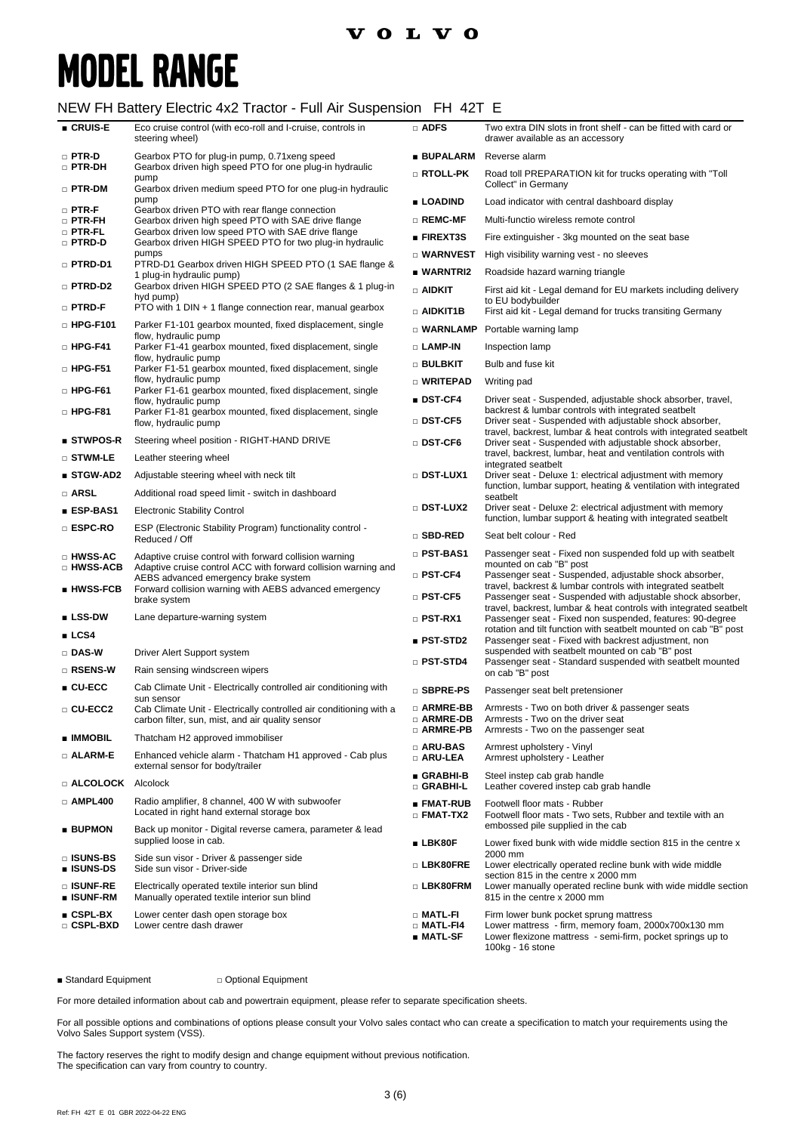### NEW FH Battery Electric 4x2 Tractor - Full Air Suspension FH 42T E

| ■ CRUIS-E                            | Eco cruise control (with eco-roll and I-cruise, controls in<br>steering wheel)                                               | $\Box$ ADFS                                  | Two extra DIN slots in front shelf - can be fitted with card or<br>drawer available as an accessory                                                                                            |
|--------------------------------------|------------------------------------------------------------------------------------------------------------------------------|----------------------------------------------|------------------------------------------------------------------------------------------------------------------------------------------------------------------------------------------------|
| $\square$ PTR-D                      | Gearbox PTO for plug-in pump, 0.71 xeng speed                                                                                | ∎ BUPALARM                                   | Reverse alarm                                                                                                                                                                                  |
| $\Box$ PTR-DH<br>$\Box$ PTR-DM       | Gearbox driven high speed PTO for one plug-in hydraulic<br>pump<br>Gearbox driven medium speed PTO for one plug-in hydraulic | $\square$ RTOLL-PK                           | Road toll PREPARATION kit for trucks operating with "Toll<br>Collect" in Germany                                                                                                               |
| $\square$ PTR-F                      | pump<br>Gearbox driven PTO with rear flange connection                                                                       | ■ LOADIND                                    | Load indicator with central dashboard display                                                                                                                                                  |
| $\Box$ PTR-FH                        | Gearbox driven high speed PTO with SAE drive flange                                                                          | $\square$ REMC-MF                            | Multi-functio wireless remote control                                                                                                                                                          |
| $\square$ PTR-FL<br>□ PTRD-D         | Gearbox driven low speed PTO with SAE drive flange<br>Gearbox driven HIGH SPEED PTO for two plug-in hydraulic                | ■ FIREXT3S                                   | Fire extinguisher - 3kg mounted on the seat base                                                                                                                                               |
|                                      | pumps                                                                                                                        | □ WARNVEST                                   | High visibility warning vest - no sleeves                                                                                                                                                      |
| D PTRD-D1                            | PTRD-D1 Gearbox driven HIGH SPEED PTO (1 SAE flange &<br>1 plug-in hydraulic pump)                                           | ■ WARNTRI2                                   | Roadside hazard warning triangle                                                                                                                                                               |
| □ PTRD-D2                            | Gearbox driven HIGH SPEED PTO (2 SAE flanges & 1 plug-in<br>hyd pump)                                                        | $\Box$ aidkit                                | First aid kit - Legal demand for EU markets including delivery<br>to EU bodybuilder                                                                                                            |
| □ PTRD-F                             | PTO with 1 DIN + 1 flange connection rear, manual gearbox                                                                    | $\Box$ AIDKIT1B                              | First aid kit - Legal demand for trucks transiting Germany                                                                                                                                     |
| $\Box$ HPG-F101                      | Parker F1-101 gearbox mounted, fixed displacement, single<br>flow, hydraulic pump                                            | $\square$ WARNLAMP                           | Portable warning lamp                                                                                                                                                                          |
| $\Box$ HPG-F41                       | Parker F1-41 gearbox mounted, fixed displacement, single                                                                     | □ LAMP-IN                                    | Inspection lamp                                                                                                                                                                                |
| $\Box$ HPG-F51                       | flow, hydraulic pump<br>Parker F1-51 gearbox mounted, fixed displacement, single                                             | $\square$ bulbkit                            | Bulb and fuse kit                                                                                                                                                                              |
|                                      | flow, hydraulic pump                                                                                                         | □ WRITEPAD                                   | Writing pad                                                                                                                                                                                    |
| $\Box$ HPG-F61                       | Parker F1-61 gearbox mounted, fixed displacement, single<br>flow, hydraulic pump                                             | ∎ DST-CF4                                    | Driver seat - Suspended, adjustable shock absorber, travel,                                                                                                                                    |
| $\Box$ HPG-F81                       | Parker F1-81 gearbox mounted, fixed displacement, single<br>flow, hydraulic pump                                             | □ DST-CF5                                    | backrest & lumbar controls with integrated seatbelt<br>Driver seat - Suspended with adjustable shock absorber,                                                                                 |
| $\blacksquare$ STWPOS-R              | Steering wheel position - RIGHT-HAND DRIVE                                                                                   | $\square$ DST-CF6                            | travel, backrest, lumbar & heat controls with integrated seatbelt<br>Driver seat - Suspended with adjustable shock absorber,                                                                   |
| □ STWM-LE                            | Leather steering wheel                                                                                                       |                                              | travel, backrest, lumbar, heat and ventilation controls with<br>integrated seatbelt                                                                                                            |
| ■ STGW-AD2                           | Adjustable steering wheel with neck tilt                                                                                     | □ DST-LUX1                                   | Driver seat - Deluxe 1: electrical adjustment with memory                                                                                                                                      |
| $\Box$ ARSL                          | Additional road speed limit - switch in dashboard                                                                            |                                              | function, lumbar support, heating & ventilation with integrated<br>seatbelt                                                                                                                    |
| ∎ ESP-BAS1                           | <b>Electronic Stability Control</b>                                                                                          | □ DST-LUX2                                   | Driver seat - Deluxe 2: electrical adjustment with memory                                                                                                                                      |
| □ ESPC-RO                            | ESP (Electronic Stability Program) functionality control -<br>Reduced / Off                                                  | □ SBD-RED                                    | function, lumbar support & heating with integrated seatbelt<br>Seat belt colour - Red                                                                                                          |
| □ HWSS-AC                            | Adaptive cruise control with forward collision warning                                                                       | □ PST-BAS1                                   | Passenger seat - Fixed non suspended fold up with seatbelt                                                                                                                                     |
| □ HWSS-ACB                           | Adaptive cruise control ACC with forward collision warning and<br>AEBS advanced emergency brake system                       | $\square$ PST-CF4                            | mounted on cab "B" post<br>Passenger seat - Suspended, adjustable shock absorber,                                                                                                              |
| ∎ HWSS-FCB                           | Forward collision warning with AEBS advanced emergency<br>brake system                                                       | $\square$ PST-CF5                            | travel, backrest & lumbar controls with integrated seatbelt<br>Passenger seat - Suspended with adjustable shock absorber,<br>travel, backrest, lumbar & heat controls with integrated seatbelt |
| ∎ LSS-DW                             | Lane departure-warning system                                                                                                | $\square$ PST-RX1                            | Passenger seat - Fixed non suspended, features: 90-degree                                                                                                                                      |
| ∎ LCS4                               |                                                                                                                              | ∎ PST-STD2                                   | rotation and tilt function with seatbelt mounted on cab "B" post<br>Passenger seat - Fixed with backrest adjustment, non                                                                       |
| □ DAS-W                              | Driver Alert Support system                                                                                                  | $\square$ PST-STD4                           | suspended with seatbelt mounted on cab "B" post<br>Passenger seat - Standard suspended with seatbelt mounted                                                                                   |
| □ RSENS-W                            | Rain sensing windscreen wipers                                                                                               |                                              | on cab "B" post                                                                                                                                                                                |
| ∎ CU-ECC                             | Cab Climate Unit - Electrically controlled air conditioning with<br>sun sensor                                               | □ SBPRE-PS                                   | Passenger seat belt pretensioner                                                                                                                                                               |
| □ CU-ECC2                            | Cab Climate Unit - Electrically controlled air conditioning with a<br>carbon filter, sun, mist, and air quality sensor       | □ ARMRE-BB<br>□ ARMRE-DB                     | Armrests - Two on both driver & passenger seats<br>Armrests - Two on the driver seat                                                                                                           |
| ■ IMMOBIL                            | Thatcham H2 approved immobiliser                                                                                             | □ ARMRE-PB                                   | Armrests - Two on the passenger seat                                                                                                                                                           |
| $\Box$ ALARM-E                       | Enhanced vehicle alarm - Thatcham H1 approved - Cab plus<br>external sensor for body/trailer                                 | $\square$ ARU-BAS<br><b>D</b> ARU-LEA        | Armrest upholstery - Vinyl<br>Armrest upholstery - Leather                                                                                                                                     |
| <b>El ALCOLOCK</b> Alcolock          |                                                                                                                              | GRABHI-B<br>□ GRABHI-L                       | Steel instep cab grab handle<br>Leather covered instep cab grab handle                                                                                                                         |
| $\Box$ AMPL400                       | Radio amplifier, 8 channel, 400 W with subwoofer<br>Located in right hand external storage box                               | ∎ FMAT-RUB<br>$\square$ FMAT-TX2             | Footwell floor mats - Rubber<br>Footwell floor mats - Two sets, Rubber and textile with an                                                                                                     |
| <b>■ BUPMON</b>                      | Back up monitor - Digital reverse camera, parameter & lead<br>supplied loose in cab.                                         | ∎ LBK80F                                     | embossed pile supplied in the cab                                                                                                                                                              |
| $\square$ isuns-bs<br>∎ ISUNS-DS     | Side sun visor - Driver & passenger side<br>Side sun visor - Driver-side                                                     | □ LBK80FRE                                   | Lower fixed bunk with wide middle section 815 in the centre x<br>2000 mm<br>Lower electrically operated recline bunk with wide middle                                                          |
| □ ISUNF-RE                           | Electrically operated textile interior sun blind                                                                             | □ LBK80FRM                                   | section 815 in the centre x 2000 mm<br>Lower manually operated recline bunk with wide middle section                                                                                           |
| ∎ ISUNF-RM                           | Manually operated textile interior sun blind                                                                                 |                                              | 815 in the centre x 2000 mm                                                                                                                                                                    |
| $\blacksquare$ CSPL-BX<br>□ CSPL-BXD | Lower center dash open storage box<br>Lower centre dash drawer                                                               | □ MATL-FI<br>$\square$ Matl-F14<br>■ MATL-SF | Firm lower bunk pocket sprung mattress<br>Lower mattress - firm, memory foam, 2000x700x130 mm<br>Lower flexizone mattress - semi-firm, pocket springs up to<br>100kg - 16 stone                |

■ Standard Equipment □ Optional Equipment

For more detailed information about cab and powertrain equipment, please refer to separate specification sheets.

For all possible options and combinations of options please consult your Volvo sales contact who can create a specification to match your requirements using the Volvo Sales Support system (VSS).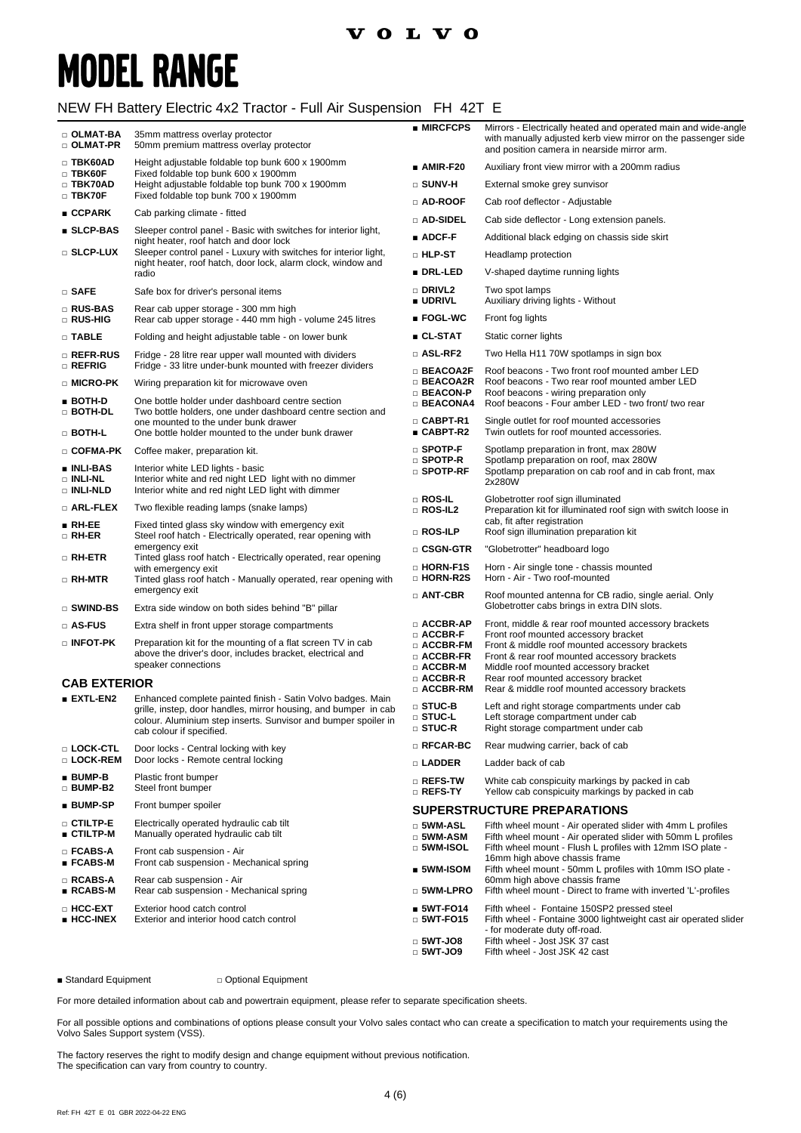### **VOLVO**

# **MODEL RANGE**

### NEW FH Battery Electric 4x2 Tractor - Full Air Suspension FH 42T E

| □ OLMAT-BA<br>$\Box$ OLMAT-PR                  | 35mm mattress overlay protector<br>50mm premium mattress overlay protector                                                                                    | ■ MIRCFCPS                                                                                     | Mirrors - Electrically heated and operated main and wide-angle<br>with manually adjusted kerb view mirror on the passenger side<br>and position camera in nearside mirror arm.                                         |
|------------------------------------------------|---------------------------------------------------------------------------------------------------------------------------------------------------------------|------------------------------------------------------------------------------------------------|------------------------------------------------------------------------------------------------------------------------------------------------------------------------------------------------------------------------|
| $\square$ TBK60AD                              | Height adjustable foldable top bunk 600 x 1900mm                                                                                                              | $\_ AMIR-F20$                                                                                  | Auxiliary front view mirror with a 200mm radius                                                                                                                                                                        |
| $\square$ TBK60F<br>□ TBK70AD                  | Fixed foldable top bunk 600 x 1900mm<br>Height adjustable foldable top bunk 700 x 1900mm                                                                      | □ SUNV-H                                                                                       | External smoke grey sunvisor                                                                                                                                                                                           |
| $\Box$ TBK70F                                  | Fixed foldable top bunk 700 x 1900mm                                                                                                                          | $\scriptstyle\Box$ AD-ROOF                                                                     | Cab roof deflector - Adjustable                                                                                                                                                                                        |
| CCPARK                                         | Cab parking climate - fitted                                                                                                                                  | □ AD-SIDEL                                                                                     | Cab side deflector - Long extension panels.                                                                                                                                                                            |
| $\square$ SLCP-BAS                             | Sleeper control panel - Basic with switches for interior light,<br>night heater, roof hatch and door lock                                                     | $\blacksquare$ ADCF-F                                                                          | Additional black edging on chassis side skirt                                                                                                                                                                          |
| <b>SLCP-LUX</b>                                | Sleeper control panel - Luxury with switches for interior light,                                                                                              | <b>D</b> HLP-ST                                                                                | Headlamp protection                                                                                                                                                                                                    |
|                                                | night heater, roof hatch, door lock, alarm clock, window and<br>radio                                                                                         | ∎ DRL-LED                                                                                      | V-shaped daytime running lights                                                                                                                                                                                        |
| □ SAFE                                         | Safe box for driver's personal items                                                                                                                          | □ DRIVL2<br>■ UDRIVL                                                                           | Two spot lamps<br>Auxiliary driving lights - Without                                                                                                                                                                   |
| □ RUS-BAS<br><b>RUS-HIG</b>                    | Rear cab upper storage - 300 mm high<br>Rear cab upper storage - 440 mm high - volume 245 litres                                                              | ∎ FOGL-WC                                                                                      | Front fog lights                                                                                                                                                                                                       |
| $\Box$ TABLE                                   | Folding and height adjustable table - on lower bunk                                                                                                           | ∎ CL-STAT                                                                                      | Static corner lights                                                                                                                                                                                                   |
| □ REFR-RUS                                     | Fridge - 28 litre rear upper wall mounted with dividers                                                                                                       | □ ASL-RF2                                                                                      | Two Hella H11 70W spotlamps in sign box                                                                                                                                                                                |
| □ REFRIG<br>□ MICRO-PK                         | Fridge - 33 litre under-bunk mounted with freezer dividers<br>Wiring preparation kit for microwave oven                                                       | $\Box$ BEACOA2F<br>□ BEACOA2R                                                                  | Roof beacons - Two front roof mounted amber LED<br>Roof beacons - Two rear roof mounted amber LED                                                                                                                      |
| ∎ BOTH-D                                       | One bottle holder under dashboard centre section                                                                                                              | <b>BEACON-P</b><br>$\square$ BEACONA4                                                          | Roof beacons - wiring preparation only<br>Roof beacons - Four amber LED - two front/ two rear                                                                                                                          |
| □ BOTH-DL<br>$\Box$ Both-L                     | Two bottle holders, one under dashboard centre section and<br>one mounted to the under bunk drawer<br>One bottle holder mounted to the under bunk drawer      | $\Box$ CABPT-R1<br>■ CABPT-R2                                                                  | Single outlet for roof mounted accessories<br>Twin outlets for roof mounted accessories.                                                                                                                               |
| □ COFMA-PK                                     | Coffee maker, preparation kit.                                                                                                                                | $\square$ SPOTP-F                                                                              | Spotlamp preparation in front, max 280W                                                                                                                                                                                |
| ∎ INLI-BAS<br>□ INLI-NL<br>□ INLI-NLD          | Interior white LED lights - basic<br>Interior white and red night LED light with no dimmer<br>Interior white and red night LED light with dimmer              | $\square$ Spotp-R<br>$\scriptstyle\Box$ spotp-rf                                               | Spotlamp preparation on roof, max 280W<br>Spotlamp preparation on cab roof and in cab front, max<br>2x280W                                                                                                             |
| $\square$ Arl-flex                             | Two flexible reading lamps (snake lamps)                                                                                                                      | □ ROS-IL<br>$\square$ ROS-IL2                                                                  | Globetrotter roof sign illuminated<br>Preparation kit for illuminated roof sign with switch loose in                                                                                                                   |
| $\blacksquare$ RH-EE<br>□ RH-ER                | Fixed tinted glass sky window with emergency exit<br>Steel roof hatch - Electrically operated, rear opening with                                              | □ ROS-ILP                                                                                      | cab, fit after registration<br>Roof sign illumination preparation kit                                                                                                                                                  |
| □ RH-ETR                                       | emergency exit<br>Tinted glass roof hatch - Electrically operated, rear opening                                                                               | □ CSGN-GTR                                                                                     | "Globetrotter" headboard logo                                                                                                                                                                                          |
|                                                | with emergency exit                                                                                                                                           | □ HORN-F1S<br>$\square$ Horn-R2S                                                               | Horn - Air single tone - chassis mounted<br>Horn - Air - Two roof-mounted                                                                                                                                              |
| □ RH-MTR                                       | Tinted glass roof hatch - Manually operated, rear opening with<br>emergency exit                                                                              | $\Box$ ANT-CBR                                                                                 | Roof mounted antenna for CB radio, single aerial. Only                                                                                                                                                                 |
| $\square$ swind-bs                             | Extra side window on both sides behind "B" pillar                                                                                                             |                                                                                                | Globetrotter cabs brings in extra DIN slots.                                                                                                                                                                           |
| $\square$ AS-FUS                               | Extra shelf in front upper storage compartments                                                                                                               | $\Box$ ACCBR-AP                                                                                | Front, middle & rear roof mounted accessory brackets                                                                                                                                                                   |
| $\square$ INFOT-PK                             | Preparation kit for the mounting of a flat screen TV in cab<br>above the driver's door, includes bracket, electrical and<br>speaker connections               | $\square$ ACCBR-F<br>$\Box$ ACCBR-FM<br>$\square$ ACCBR-FR<br>$\Box$ ACCBR-M<br>$\Box$ ACCBR-R | Front roof mounted accessory bracket<br>Front & middle roof mounted accessory brackets<br>Front & rear roof mounted accessory brackets<br>Middle roof mounted accessory bracket<br>Rear roof mounted accessory bracket |
| <b>CAB EXTERIOR</b><br>$\blacksquare$ extl-en2 | Enhanced complete painted finish - Satin Volvo badges. Main                                                                                                   | $\Box$ ACCBR-RM                                                                                | Rear & middle roof mounted accessory brackets                                                                                                                                                                          |
|                                                | grille, instep, door handles, mirror housing, and bumper in cab<br>colour. Aluminium step inserts. Sunvisor and bumper spoiler in<br>cab colour if specified. | □ STUC-B<br>$\square$ stuc-l<br>□ STUC-R                                                       | Left and right storage compartments under cab<br>Left storage compartment under cab<br>Right storage compartment under cab                                                                                             |
| □ LOCK-CTL                                     | Door locks - Central locking with key                                                                                                                         | $\square$ RFCAR-BC                                                                             | Rear mudwing carrier, back of cab                                                                                                                                                                                      |
| □ LOCK-REM                                     | Door locks - Remote central locking                                                                                                                           | $\square$ Ladder                                                                               | Ladder back of cab                                                                                                                                                                                                     |
| $\blacksquare$ BUMP-B<br>□ BUMP-B2             | Plastic front bumper<br>Steel front bumper                                                                                                                    | □ REFS-TW<br>$\square$ Refs-ty                                                                 | White cab conspicuity markings by packed in cab<br>Yellow cab conspicuity markings by packed in cab                                                                                                                    |
| ∎ BUMP-SP                                      | Front bumper spoiler                                                                                                                                          |                                                                                                | <b>SUPERSTRUCTURE PREPARATIONS</b>                                                                                                                                                                                     |
| <b>D</b> CTILTP-E<br>∎ CTILTP-M                | Electrically operated hydraulic cab tilt<br>Manually operated hydraulic cab tilt                                                                              | □ 5WM-ASL<br>$\Box$ 5WM-ASM                                                                    | Fifth wheel mount - Air operated slider with 4mm L profiles<br>Fifth wheel mount - Air operated slider with 50mm L profiles                                                                                            |
| □ FCABS-A<br>■ FCABS-M                         | Front cab suspension - Air<br>Front cab suspension - Mechanical spring                                                                                        | $\square$ 5WM-ISOL<br>$\_$ 5WM-ISOM                                                            | Fifth wheel mount - Flush L profiles with 12mm ISO plate -<br>16mm high above chassis frame<br>Fifth wheel mount - 50mm L profiles with 10mm ISO plate -                                                               |
| □ RCABS-A<br>∎ RCABS-M                         | Rear cab suspension - Air<br>Rear cab suspension - Mechanical spring                                                                                          | □ 5WM-LPRO                                                                                     | 60mm high above chassis frame<br>Fifth wheel mount - Direct to frame with inverted 'L'-profiles                                                                                                                        |
| □ HCC-EXT<br>∎ HCC-INEX                        | Exterior hood catch control<br>Exterior and interior hood catch control                                                                                       | $$WT-FO14$$<br>$\scriptstyle\Box$ 5WT-FO15                                                     | Fifth wheel - Fontaine 150SP2 pressed steel<br>Fifth wheel - Fontaine 3000 lightweight cast air operated slider                                                                                                        |
|                                                |                                                                                                                                                               | $\Box$ 5WT-JO8<br>□ 5WT-JO9                                                                    | - for moderate duty off-road.<br>Fifth wheel - Jost JSK 37 cast<br>Fifth wheel - Jost JSK 42 cast                                                                                                                      |

■ Standard Equipment □ Optional Equipment

For more detailed information about cab and powertrain equipment, please refer to separate specification sheets.

For all possible options and combinations of options please consult your Volvo sales contact who can create a specification to match your requirements using the Volvo Sales Support system (VSS).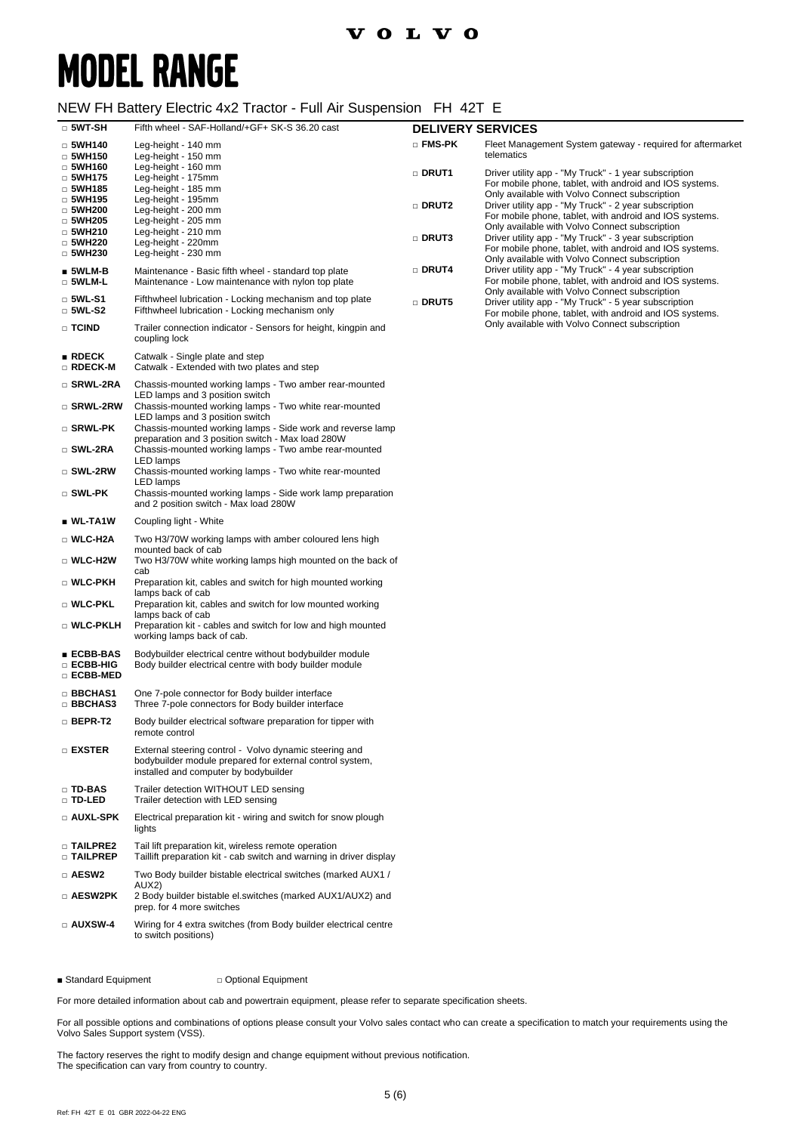### $\frac{1}{2}$  Tractor  $\Gamma$ ull  $\frac{1}{2}$  Suspension  $\Gamma$ H 42T E

| $\Box$ 5WT-SH                                   | NEW FH Battely Electric 4XZ Tractor - Full All Susperision FH 4ZT E<br>Fifth wheel - SAF-Holland/+GF+ SK-S 36.20 cast                                                         | <b>DELIVERY SERVICES</b> |                                                                                                                                                                    |
|-------------------------------------------------|-------------------------------------------------------------------------------------------------------------------------------------------------------------------------------|--------------------------|--------------------------------------------------------------------------------------------------------------------------------------------------------------------|
| $\Box$ 5WH140<br>$\Box$ 5WH150<br>□ 5WH160      | Leg-height - 140 mm<br>Leg-height - 150 mm<br>Leg-height - 160 mm                                                                                                             | □ FMS-PK                 | Fleet Management System gateway - required for aftermarket<br>telematics                                                                                           |
| $\Box$ 5WH175<br>$\Box$ 5WH185                  | Leg-height - 175mm<br>Leg-height - 185 mm                                                                                                                                     | □ DRUT1                  | Driver utility app - "My Truck" - 1 year subscription<br>For mobile phone, tablet, with android and IOS systems.<br>Only available with Volvo Connect subscription |
| $\Box$ 5WH195<br>$\Box$ 5WH200<br>$\Box$ 5WH205 | Leg-height - 195mm<br>Leg-height - 200 mm<br>Leg-height - 205 mm                                                                                                              | <b>DRUT2</b>             | Driver utility app - "My Truck" - 2 year subscription<br>For mobile phone, tablet, with android and IOS systems.<br>Only available with Volvo Connect subscription |
| $\Box$ 5WH210<br>$\Box$ 5WH220<br>$\Box$ 5WH230 | Leg-height - 210 mm<br>Leg-height - 220mm<br>Leg-height - 230 mm                                                                                                              | □ DRUT3                  | Driver utility app - "My Truck" - 3 year subscription<br>For mobile phone, tablet, with android and IOS systems.<br>Only available with Volvo Connect subscription |
| $\blacksquare$ 5WLM-B<br>□ 5WLM-L               | Maintenance - Basic fifth wheel - standard top plate<br>Maintenance - Low maintenance with nylon top plate                                                                    | □ DRUT4                  | Driver utility app - "My Truck" - 4 year subscription<br>For mobile phone, tablet, with android and IOS systems.<br>Only available with Volvo Connect subscription |
| $\square$ 5WL-S1<br>□ 5WL-S2                    | Fifthwheel lubrication - Locking mechanism and top plate<br>Fifthwheel lubrication - Locking mechanism only                                                                   | □ DRUT5                  | Driver utility app - "My Truck" - 5 year subscription<br>For mobile phone, tablet, with android and IOS systems.                                                   |
| □ TCIND                                         | Trailer connection indicator - Sensors for height, kingpin and<br>coupling lock                                                                                               |                          | Only available with Volvo Connect subscription                                                                                                                     |
| $\blacksquare$ RDECK<br>□ RDECK-M               | Catwalk - Single plate and step<br>Catwalk - Extended with two plates and step                                                                                                |                          |                                                                                                                                                                    |
| □ SRWL-2RA<br>□ SRWL-2RW                        | Chassis-mounted working lamps - Two amber rear-mounted<br>LED lamps and 3 position switch<br>Chassis-mounted working lamps - Two white rear-mounted                           |                          |                                                                                                                                                                    |
| □ SRWL-PK                                       | LED lamps and 3 position switch<br>Chassis-mounted working lamps - Side work and reverse lamp                                                                                 |                          |                                                                                                                                                                    |
| □ SWL-2RA                                       | preparation and 3 position switch - Max load 280W<br>Chassis-mounted working lamps - Two ambe rear-mounted<br>LED lamps                                                       |                          |                                                                                                                                                                    |
| □ SWL-2RW<br>$\square$ SWL-PK                   | Chassis-mounted working lamps - Two white rear-mounted<br>LED lamps<br>Chassis-mounted working lamps - Side work lamp preparation                                             |                          |                                                                                                                                                                    |
| $\blacksquare$ WL-TA1W                          | and 2 position switch - Max load 280W<br>Coupling light - White                                                                                                               |                          |                                                                                                                                                                    |
| □ WLC-H2A                                       | Two H3/70W working lamps with amber coloured lens high                                                                                                                        |                          |                                                                                                                                                                    |
| □ WLC-H2W                                       | mounted back of cab<br>Two H3/70W white working lamps high mounted on the back of<br>cab                                                                                      |                          |                                                                                                                                                                    |
| □ WLC-PKH                                       | Preparation kit, cables and switch for high mounted working<br>lamps back of cab                                                                                              |                          |                                                                                                                                                                    |
| □ WLC-PKL<br>□ WLC-PKLH                         | Preparation kit, cables and switch for low mounted working<br>lamps back of cab<br>Preparation kit - cables and switch for low and high mounted<br>working lamps back of cab. |                          |                                                                                                                                                                    |
| ∎ ECBB-BAS<br>□ ECBB-HIG<br><b>DECBB-MED</b>    | Bodybuilder electrical centre without bodybuilder module<br>Body builder electrical centre with body builder module                                                           |                          |                                                                                                                                                                    |
| <b>BBCHAS1</b><br>□ BBCHAS3                     | One 7-pole connector for Body builder interface<br>Three 7-pole connectors for Body builder interface                                                                         |                          |                                                                                                                                                                    |
| □ BEPR-T2                                       | Body builder electrical software preparation for tipper with<br>remote control                                                                                                |                          |                                                                                                                                                                    |
| $\square$ exster                                | External steering control - Volvo dynamic steering and<br>bodybuilder module prepared for external control system,<br>installed and computer by bodybuilder                   |                          |                                                                                                                                                                    |
| □ TD-BAS<br>□ TD-LED                            | Trailer detection WITHOUT LED sensing<br>Trailer detection with LED sensing                                                                                                   |                          |                                                                                                                                                                    |
| □ AUXL-SPK                                      | Electrical preparation kit - wiring and switch for snow plough<br>lights                                                                                                      |                          |                                                                                                                                                                    |
| <b>D TAILPRE2</b><br>$\square$ Tailprep         | Tail lift preparation kit, wireless remote operation<br>Taillift preparation kit - cab switch and warning in driver display                                                   |                          |                                                                                                                                                                    |
| □ AESW2                                         | Two Body builder bistable electrical switches (marked AUX1 /<br>AUX2)                                                                                                         |                          |                                                                                                                                                                    |
| □ AESW2PK                                       | 2 Body builder bistable el.switches (marked AUX1/AUX2) and<br>prep. for 4 more switches                                                                                       |                          |                                                                                                                                                                    |
| $\square$ AUXSW-4                               | Wiring for 4 extra switches (from Body builder electrical centre<br>to switch positions)                                                                                      |                          |                                                                                                                                                                    |

■ Standard Equipment □ Optional Equipment

For more detailed information about cab and powertrain equipment, please refer to separate specification sheets.

For all possible options and combinations of options please consult your Volvo sales contact who can create a specification to match your requirements using the Volvo Sales Support system (VSS).